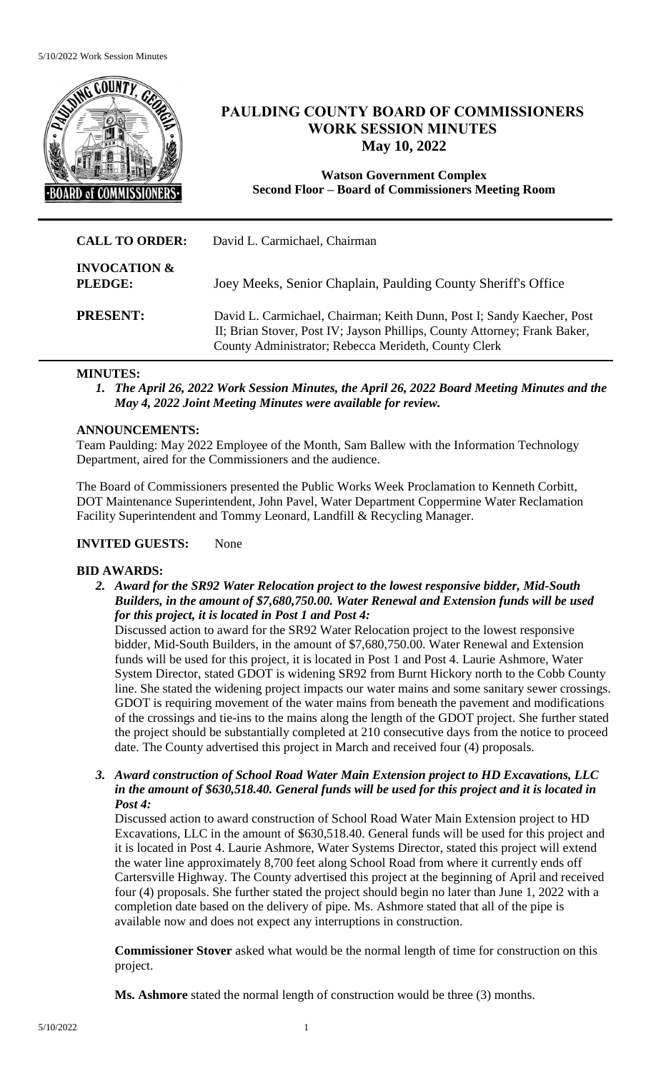

# **PAULDING COUNTY BOARD OF COMMISSIONERS WORK SESSION MINUTES May 10, 2022**

**Watson Government Complex Second Floor – Board of Commissioners Meeting Room**

| <b>CALL TO ORDER:</b>              | David L. Carmichael, Chairman                                                                                                                                                                               |
|------------------------------------|-------------------------------------------------------------------------------------------------------------------------------------------------------------------------------------------------------------|
| <b>INVOCATION &amp;</b><br>PLEDGE: | Joey Meeks, Senior Chaplain, Paulding County Sheriff's Office                                                                                                                                               |
| <b>PRESENT:</b>                    | David L. Carmichael, Chairman; Keith Dunn, Post I; Sandy Kaecher, Post<br>II; Brian Stover, Post IV; Jayson Phillips, County Attorney; Frank Baker,<br>County Administrator; Rebecca Merideth, County Clerk |

## **MINUTES:**

*1. The April 26, 2022 Work Session Minutes, the April 26, 2022 Board Meeting Minutes and the May 4, 2022 Joint Meeting Minutes were available for review.* 

## **ANNOUNCEMENTS:**

Team Paulding: May 2022 Employee of the Month, Sam Ballew with the Information Technology Department, aired for the Commissioners and the audience.

The Board of Commissioners presented the Public Works Week Proclamation to Kenneth Corbitt, DOT Maintenance Superintendent, John Pavel, Water Department Coppermine Water Reclamation Facility Superintendent and Tommy Leonard, Landfill & Recycling Manager.

# **INVITED GUESTS:** None

#### **BID AWARDS:**

*2. Award for the SR92 Water Relocation project to the lowest responsive bidder, Mid-South Builders, in the amount of \$7,680,750.00. Water Renewal and Extension funds will be used for this project, it is located in Post 1 and Post 4:*

Discussed action to award for the SR92 Water Relocation project to the lowest responsive bidder, Mid-South Builders, in the amount of \$7,680,750.00. Water Renewal and Extension funds will be used for this project, it is located in Post 1 and Post 4. Laurie Ashmore, Water System Director, stated GDOT is widening SR92 from Burnt Hickory north to the Cobb County line. She stated the widening project impacts our water mains and some sanitary sewer crossings. GDOT is requiring movement of the water mains from beneath the pavement and modifications of the crossings and tie-ins to the mains along the length of the GDOT project. She further stated the project should be substantially completed at 210 consecutive days from the notice to proceed date. The County advertised this project in March and received four (4) proposals.

*3. Award construction of School Road Water Main Extension project to HD Excavations, LLC in the amount of \$630,518.40. General funds will be used for this project and it is located in Post 4:*

Discussed action to award construction of School Road Water Main Extension project to HD Excavations, LLC in the amount of \$630,518.40. General funds will be used for this project and it is located in Post 4. Laurie Ashmore, Water Systems Director, stated this project will extend the water line approximately 8,700 feet along School Road from where it currently ends off Cartersville Highway. The County advertised this project at the beginning of April and received four (4) proposals. She further stated the project should begin no later than June 1, 2022 with a completion date based on the delivery of pipe. Ms. Ashmore stated that all of the pipe is available now and does not expect any interruptions in construction.

**Commissioner Stover** asked what would be the normal length of time for construction on this project.

**Ms. Ashmore** stated the normal length of construction would be three (3) months.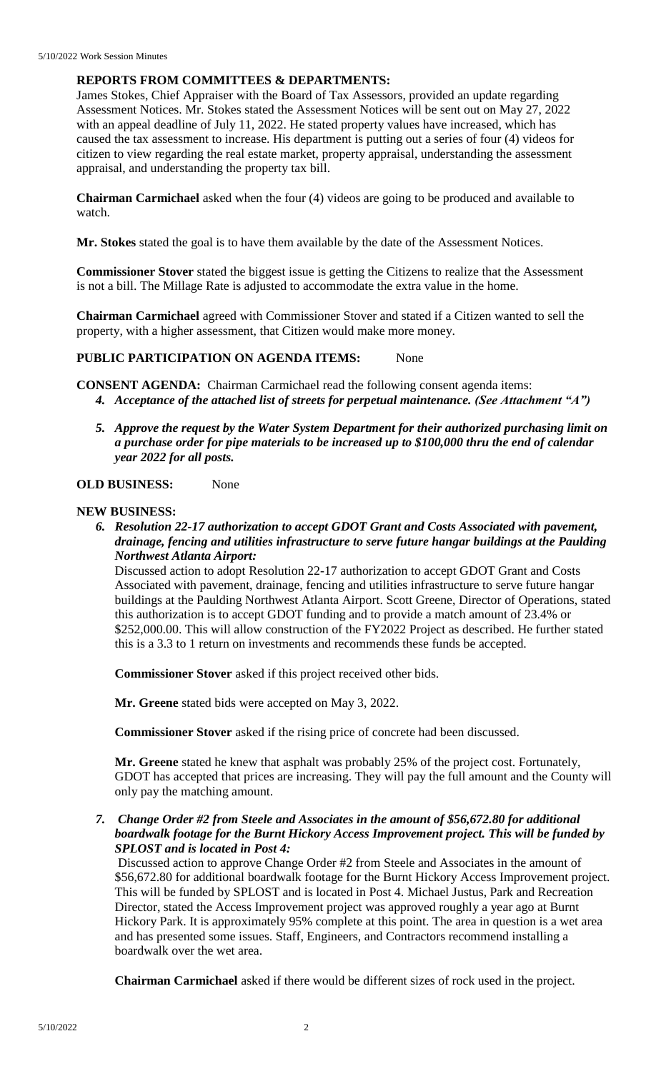## **REPORTS FROM COMMITTEES & DEPARTMENTS:**

James Stokes, Chief Appraiser with the Board of Tax Assessors, provided an update regarding Assessment Notices. Mr. Stokes stated the Assessment Notices will be sent out on May 27, 2022 with an appeal deadline of July 11, 2022. He stated property values have increased, which has caused the tax assessment to increase. His department is putting out a series of four (4) videos for citizen to view regarding the real estate market, property appraisal, understanding the assessment appraisal, and understanding the property tax bill.

**Chairman Carmichael** asked when the four (4) videos are going to be produced and available to watch.

**Mr. Stokes** stated the goal is to have them available by the date of the Assessment Notices.

**Commissioner Stover** stated the biggest issue is getting the Citizens to realize that the Assessment is not a bill. The Millage Rate is adjusted to accommodate the extra value in the home.

**Chairman Carmichael** agreed with Commissioner Stover and stated if a Citizen wanted to sell the property, with a higher assessment, that Citizen would make more money.

#### **PUBLIC PARTICIPATION ON AGENDA ITEMS:** None

**CONSENT AGENDA:** Chairman Carmichael read the following consent agenda items: *4. Acceptance of the attached list of streets for perpetual maintenance. (See Attachment "A")*

*5. Approve the request by the Water System Department for their authorized purchasing limit on a purchase order for pipe materials to be increased up to \$100,000 thru the end of calendar year 2022 for all posts.* 

#### **OLD BUSINESS:** None

#### **NEW BUSINESS:**

*6. Resolution 22-17 authorization to accept GDOT Grant and Costs Associated with pavement, drainage, fencing and utilities infrastructure to serve future hangar buildings at the Paulding Northwest Atlanta Airport:*

Discussed action to adopt Resolution 22-17 authorization to accept GDOT Grant and Costs Associated with pavement, drainage, fencing and utilities infrastructure to serve future hangar buildings at the Paulding Northwest Atlanta Airport. Scott Greene, Director of Operations, stated this authorization is to accept GDOT funding and to provide a match amount of 23.4% or \$252,000.00. This will allow construction of the FY2022 Project as described. He further stated this is a 3.3 to 1 return on investments and recommends these funds be accepted.

**Commissioner Stover** asked if this project received other bids.

**Mr. Greene** stated bids were accepted on May 3, 2022.

**Commissioner Stover** asked if the rising price of concrete had been discussed.

**Mr. Greene** stated he knew that asphalt was probably 25% of the project cost. Fortunately, GDOT has accepted that prices are increasing. They will pay the full amount and the County will only pay the matching amount.

*7. Change Order #2 from Steele and Associates in the amount of \$56,672.80 for additional boardwalk footage for the Burnt Hickory Access Improvement project. This will be funded by SPLOST and is located in Post 4:*

Discussed action to approve Change Order #2 from Steele and Associates in the amount of \$56,672.80 for additional boardwalk footage for the Burnt Hickory Access Improvement project. This will be funded by SPLOST and is located in Post 4. Michael Justus, Park and Recreation Director, stated the Access Improvement project was approved roughly a year ago at Burnt Hickory Park. It is approximately 95% complete at this point. The area in question is a wet area and has presented some issues. Staff, Engineers, and Contractors recommend installing a boardwalk over the wet area.

**Chairman Carmichael** asked if there would be different sizes of rock used in the project.